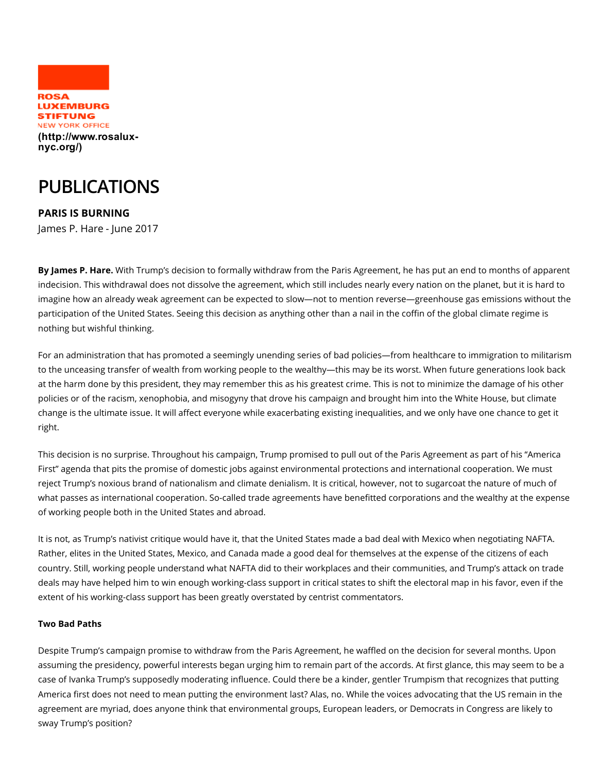

## PUBLICATIONS

PARIS IS BURNING James P. Hare - June 2017

By James P. Hare. With Trump's decision to formally withdraw from the Paris Agreement, he has put an end to months of apparent indecision. This withdrawal does not dissolve the agreement, which still includes nearly every nation on the planet, but it is hard to imagine how an already weak agreement can be expected to slow—not to mention reverse—greenhouse gas emissions without the participation of the United States. Seeing this decision as anything other than a nail in the coffin of the global climate regime is nothing but wishful thinking.

For an administration that has promoted a seemingly unending series of bad policies—from healthcare to immigration to militarism to the unceasing transfer of wealth from working people to the wealthy—this may be its worst. When future generations look back at the harm done by this president, they may remember this as his greatest crime. This is not to minimize the damage of his other policies or of the racism, xenophobia, and misogyny that drove his campaign and brought him into the White House, but climate change is the ultimate issue. It will affect everyone while exacerbating existing inequalities, and we only have one chance to get it right.

This decision is no surprise. Throughout his campaign, Trump promised to pull out of the Paris Agreement as part of his "America First" agenda that pits the promise of domestic jobs against environmental protections and international cooperation. We must reject Trump's noxious brand of nationalism and climate denialism. It is critical, however, not to sugarcoat the nature of much of what passes as international cooperation. So-called trade agreements have benefitted corporations and the wealthy at the expense of working people both in the United States and abroad.

It is not, as Trump's nativist critique would have it, that the United States made a bad deal with Mexico when negotiating NAFTA. Rather, elites in the United States, Mexico, and Canada made a good deal for themselves at the expense of the citizens of each country. Still, working people understand what NAFTA did to their workplaces and their communities, and Trump's attack on trade deals may have helped him to win enough working-class support in critical states to shift the electoral map in his favor, even if the extent of his working-class support has been greatly overstated by centrist commentators.

## Two Bad Paths

Despite Trump's campaign promise to withdraw from the Paris Agreement, he waffled on the decision for several months. Upon assuming the presidency, powerful interests began urging him to remain part of the accords. At first glance, this may seem to be a case of Ivanka Trump's supposedly moderating influence. Could there be a kinder, gentler Trumpism that recognizes that putting America first does not need to mean putting the environment last? Alas, no. While the voices advocating that the US remain in the agreement are myriad, does anyone think that environmental groups, European leaders, or Democrats in Congress are likely to sway Trump's position?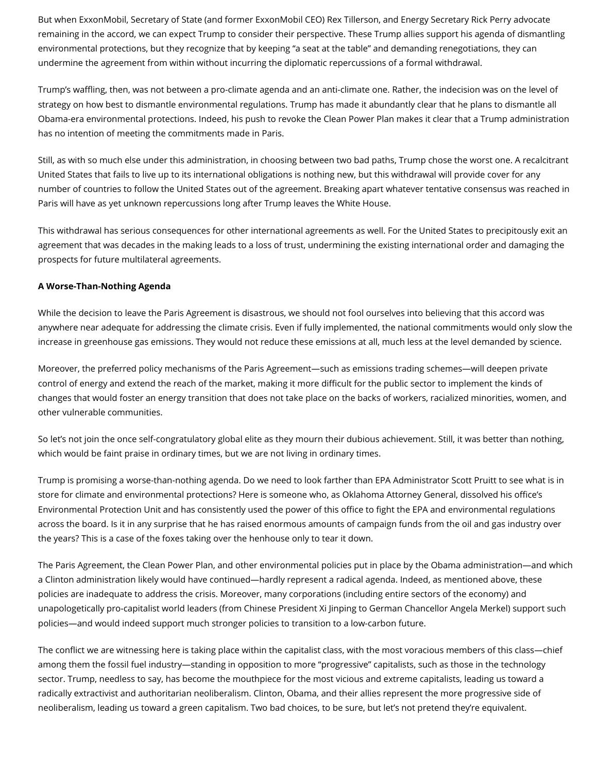But when ExxonMobil, Secretary of State (and former ExxonMobil CEO) Rex Tillerson, and Energy Secretary Rick Perry advocate remaining in the accord, we can expect Trump to consider their perspective. These Trump allies support his agenda of dismantling environmental protections, but they recognize that by keeping "a seat at the table" and demanding renegotiations, they can undermine the agreement from within without incurring the diplomatic repercussions of a formal withdrawal.

Trump's waffling, then, was not between a pro-climate agenda and an anti-climate one. Rather, the indecision was on the level of strategy on how best to dismantle environmental regulations. Trump has made it abundantly clear that he plans to dismantle all Obama-era environmental protections. Indeed, his push to revoke the Clean Power Plan makes it clear that a Trump administration has no intention of meeting the commitments made in Paris.

Still, as with so much else under this administration, in choosing between two bad paths, Trump chose the worst one. A recalcitrant United States that fails to live up to its international obligations is nothing new, but this withdrawal will provide cover for any number of countries to follow the United States out of the agreement. Breaking apart whatever tentative consensus was reached in Paris will have as yet unknown repercussions long after Trump leaves the White House.

This withdrawal has serious consequences for other international agreements as well. For the United States to precipitously exit an agreement that was decades in the making leads to a loss of trust, undermining the existing international order and damaging the prospects for future multilateral agreements.

## A Worse-Than-Nothing Agenda

While the decision to leave the Paris Agreement is disastrous, we should not fool ourselves into believing that this accord was anywhere near adequate for addressing the climate crisis. Even if fully implemented, the national commitments would only slow the increase in greenhouse gas emissions. They would not reduce these emissions at all, much less at the level demanded by science.

Moreover, the preferred policy mechanisms of the Paris Agreement—such as emissions trading schemes—will deepen private control of energy and extend the reach of the market, making it more difficult for the public sector to implement the kinds of changes that would foster an energy transition that does not take place on the backs of workers, racialized minorities, women, and other vulnerable communities.

So let's not join the once self-congratulatory global elite as they mourn their dubious achievement. Still, it was better than nothing, which would be faint praise in ordinary times, but we are not living in ordinary times.

Trump is promising a worse-than-nothing agenda. Do we need to look farther than EPA Administrator Scott Pruitt to see what is in store for climate and environmental protections? Here is someone who, as Oklahoma Attorney General, dissolved his office's Environmental Protection Unit and has consistently used the power of this office to fight the EPA and environmental regulations across the board. Is it in any surprise that he has raised enormous amounts of campaign funds from the oil and gas industry over the years? This is a case of the foxes taking over the henhouse only to tear it down.

The Paris Agreement, the Clean Power Plan, and other environmental policies put in place by the Obama administration—and which a Clinton administration likely would have continued—hardly represent a radical agenda. Indeed, as mentioned above, these policies are inadequate to address the crisis. Moreover, many corporations (including entire sectors of the economy) and unapologetically pro-capitalist world leaders (from Chinese President Xi Jinping to German Chancellor Angela Merkel) support such policies—and would indeed support much stronger policies to transition to a low-carbon future.

The conflict we are witnessing here is taking place within the capitalist class, with the most voracious members of this class—chief among them the fossil fuel industry—standing in opposition to more "progressive" capitalists, such as those in the technology sector. Trump, needless to say, has become the mouthpiece for the most vicious and extreme capitalists, leading us toward a radically extractivist and authoritarian neoliberalism. Clinton, Obama, and their allies represent the more progressive side of neoliberalism, leading us toward a green capitalism. Two bad choices, to be sure, but let's not pretend they're equivalent.